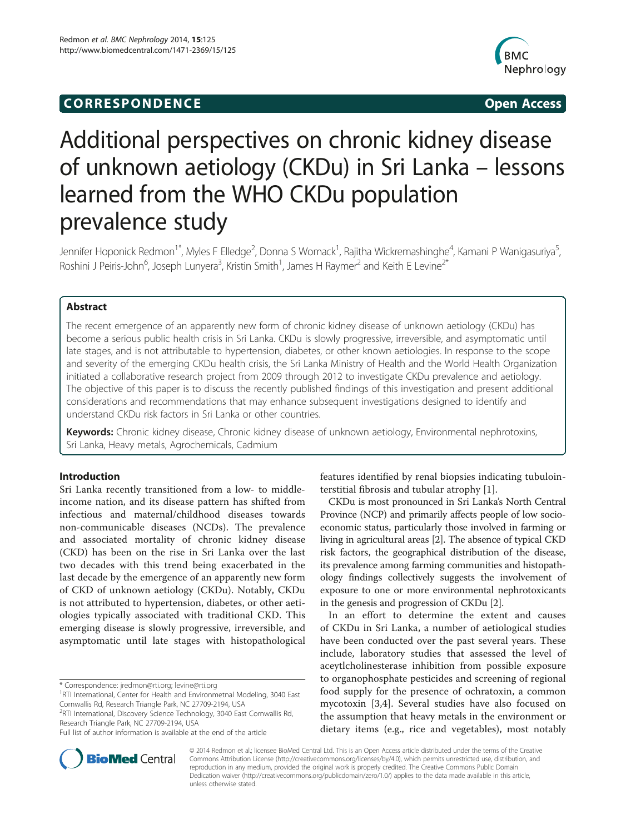# **CORRESPONDENCE CORRESPONDENCE**



# Additional perspectives on chronic kidney disease of unknown aetiology (CKDu) in Sri Lanka – lessons learned from the WHO CKDu population prevalence study

Jennifer Hoponick Redmon<sup>1\*</sup>, Myles F Elledge<sup>2</sup>, Donna S Womack<sup>1</sup>, Rajitha Wickremashinghe<sup>4</sup>, Kamani P Wanigasuriya<sup>5</sup> , Roshini J Peiris-John<sup>6</sup>, Joseph Lunyera<sup>3</sup>, Kristin Smith<sup>1</sup>, James H Raymer<sup>2</sup> and Keith E Levine<sup>2\*</sup>

# Abstract

The recent emergence of an apparently new form of chronic kidney disease of unknown aetiology (CKDu) has become a serious public health crisis in Sri Lanka. CKDu is slowly progressive, irreversible, and asymptomatic until late stages, and is not attributable to hypertension, diabetes, or other known aetiologies. In response to the scope and severity of the emerging CKDu health crisis, the Sri Lanka Ministry of Health and the World Health Organization initiated a collaborative research project from 2009 through 2012 to investigate CKDu prevalence and aetiology. The objective of this paper is to discuss the recently published findings of this investigation and present additional considerations and recommendations that may enhance subsequent investigations designed to identify and understand CKDu risk factors in Sri Lanka or other countries.

Keywords: Chronic kidney disease, Chronic kidney disease of unknown aetiology, Environmental nephrotoxins, Sri Lanka, Heavy metals, Agrochemicals, Cadmium

# Introduction

Sri Lanka recently transitioned from a low- to middleincome nation, and its disease pattern has shifted from infectious and maternal/childhood diseases towards non-communicable diseases (NCDs). The prevalence and associated mortality of chronic kidney disease (CKD) has been on the rise in Sri Lanka over the last two decades with this trend being exacerbated in the last decade by the emergence of an apparently new form of CKD of unknown aetiology (CKDu). Notably, CKDu is not attributed to hypertension, diabetes, or other aetiologies typically associated with traditional CKD. This emerging disease is slowly progressive, irreversible, and asymptomatic until late stages with histopathological

\* Correspondence: [jredmon@rti.org;](mailto:jredmon@rti.org) [levine@rti.org](mailto:levine@rti.org) <sup>1</sup>

<sup>1</sup>RTI International, Center for Health and Environmetnal Modeling, 3040 East Cornwallis Rd, Research Triangle Park, NC 27709-2194, USA

2 RTI International, Discovery Science Technology, 3040 East Cornwallis Rd, Research Triangle Park, NC 27709-2194, USA

features identified by renal biopsies indicating tubulointerstitial fibrosis and tubular atrophy [\[1](#page-7-0)].

CKDu is most pronounced in Sri Lanka's North Central Province (NCP) and primarily affects people of low socioeconomic status, particularly those involved in farming or living in agricultural areas [\[2\]](#page-7-0). The absence of typical CKD risk factors, the geographical distribution of the disease, its prevalence among farming communities and histopathology findings collectively suggests the involvement of exposure to one or more environmental nephrotoxicants in the genesis and progression of CKDu [\[2](#page-7-0)].

In an effort to determine the extent and causes of CKDu in Sri Lanka, a number of aetiological studies have been conducted over the past several years. These include, laboratory studies that assessed the level of aceytlcholinesterase inhibition from possible exposure to organophosphate pesticides and screening of regional food supply for the presence of ochratoxin, a common mycotoxin [[3,4\]](#page-8-0). Several studies have also focused on the assumption that heavy metals in the environment or dietary items (e.g., rice and vegetables), most notably



© 2014 Redmon et al.; licensee BioMed Central Ltd. This is an Open Access article distributed under the terms of the Creative Commons Attribution License [\(http://creativecommons.org/licenses/by/4.0\)](http://creativecommons.org/licenses/by/4.0), which permits unrestricted use, distribution, and reproduction in any medium, provided the original work is properly credited. The Creative Commons Public Domain Dedication waiver [\(http://creativecommons.org/publicdomain/zero/1.0/](http://creativecommons.org/publicdomain/zero/1.0/)) applies to the data made available in this article, unless otherwise stated.

Full list of author information is available at the end of the article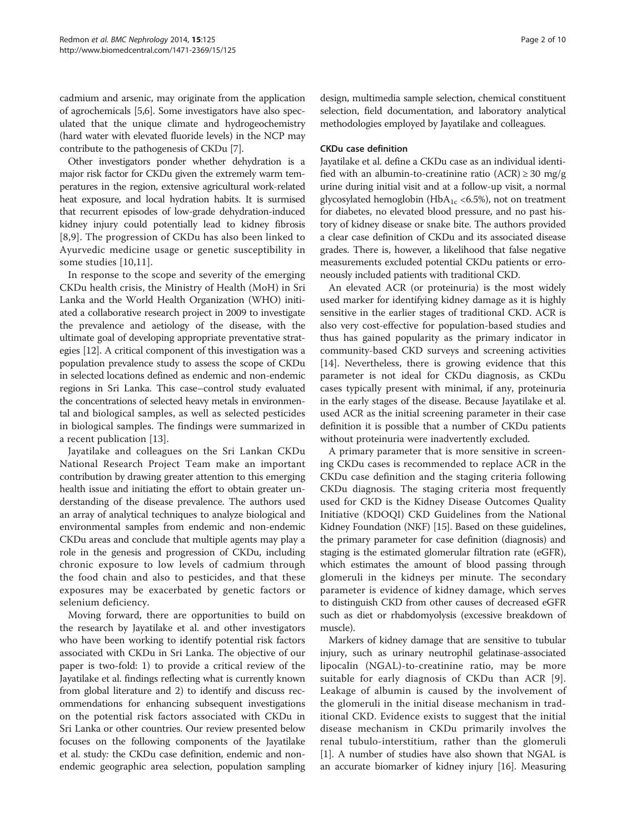cadmium and arsenic, may originate from the application of agrochemicals [[5](#page-8-0),[6](#page-8-0)]. Some investigators have also speculated that the unique climate and hydrogeochemistry (hard water with elevated fluoride levels) in the NCP may contribute to the pathogenesis of CKDu [\[7\]](#page-8-0).

Other investigators ponder whether dehydration is a major risk factor for CKDu given the extremely warm temperatures in the region, extensive agricultural work-related heat exposure, and local hydration habits. It is surmised that recurrent episodes of low-grade dehydration-induced kidney injury could potentially lead to kidney fibrosis [[8,9\]](#page-8-0). The progression of CKDu has also been linked to Ayurvedic medicine usage or genetic susceptibility in some studies [[10](#page-8-0),[11\]](#page-8-0).

In response to the scope and severity of the emerging CKDu health crisis, the Ministry of Health (MoH) in Sri Lanka and the World Health Organization (WHO) initiated a collaborative research project in 2009 to investigate the prevalence and aetiology of the disease, with the ultimate goal of developing appropriate preventative strategies [\[12\]](#page-8-0). A critical component of this investigation was a population prevalence study to assess the scope of CKDu in selected locations defined as endemic and non-endemic regions in Sri Lanka. This case–control study evaluated the concentrations of selected heavy metals in environmental and biological samples, as well as selected pesticides in biological samples. The findings were summarized in a recent publication [\[13](#page-8-0)].

Jayatilake and colleagues on the Sri Lankan CKDu National Research Project Team make an important contribution by drawing greater attention to this emerging health issue and initiating the effort to obtain greater understanding of the disease prevalence. The authors used an array of analytical techniques to analyze biological and environmental samples from endemic and non-endemic CKDu areas and conclude that multiple agents may play a role in the genesis and progression of CKDu, including chronic exposure to low levels of cadmium through the food chain and also to pesticides, and that these exposures may be exacerbated by genetic factors or selenium deficiency.

Moving forward, there are opportunities to build on the research by Jayatilake et al. and other investigators who have been working to identify potential risk factors associated with CKDu in Sri Lanka. The objective of our paper is two-fold: 1) to provide a critical review of the Jayatilake et al. findings reflecting what is currently known from global literature and 2) to identify and discuss recommendations for enhancing subsequent investigations on the potential risk factors associated with CKDu in Sri Lanka or other countries. Our review presented below focuses on the following components of the Jayatilake et al. study: the CKDu case definition, endemic and nonendemic geographic area selection, population sampling design, multimedia sample selection, chemical constituent selection, field documentation, and laboratory analytical methodologies employed by Jayatilake and colleagues.

#### CKDu case definition

Jayatilake et al. define a CKDu case as an individual identified with an albumin-to-creatinine ratio (ACR)  $\geq$  30 mg/g urine during initial visit and at a follow-up visit, a normal glycosylated hemoglobin (HbA<sub>1c</sub> <6.5%), not on treatment for diabetes, no elevated blood pressure, and no past history of kidney disease or snake bite. The authors provided a clear case definition of CKDu and its associated disease grades. There is, however, a likelihood that false negative measurements excluded potential CKDu patients or erroneously included patients with traditional CKD.

An elevated ACR (or proteinuria) is the most widely used marker for identifying kidney damage as it is highly sensitive in the earlier stages of traditional CKD. ACR is also very cost-effective for population-based studies and thus has gained popularity as the primary indicator in community-based CKD surveys and screening activities [[14\]](#page-8-0). Nevertheless, there is growing evidence that this parameter is not ideal for CKDu diagnosis, as CKDu cases typically present with minimal, if any, proteinuria in the early stages of the disease. Because Jayatilake et al. used ACR as the initial screening parameter in their case definition it is possible that a number of CKDu patients without proteinuria were inadvertently excluded.

A primary parameter that is more sensitive in screening CKDu cases is recommended to replace ACR in the CKDu case definition and the staging criteria following CKDu diagnosis. The staging criteria most frequently used for CKD is the Kidney Disease Outcomes Quality Initiative (KDOQI) CKD Guidelines from the National Kidney Foundation (NKF) [[15](#page-8-0)]. Based on these guidelines, the primary parameter for case definition (diagnosis) and staging is the estimated glomerular filtration rate (eGFR), which estimates the amount of blood passing through glomeruli in the kidneys per minute. The secondary parameter is evidence of kidney damage, which serves to distinguish CKD from other causes of decreased eGFR such as diet or rhabdomyolysis (excessive breakdown of muscle).

Markers of kidney damage that are sensitive to tubular injury, such as urinary neutrophil gelatinase-associated lipocalin (NGAL)-to-creatinine ratio, may be more suitable for early diagnosis of CKDu than ACR [[9](#page-8-0)]. Leakage of albumin is caused by the involvement of the glomeruli in the initial disease mechanism in traditional CKD. Evidence exists to suggest that the initial disease mechanism in CKDu primarily involves the renal tubulo-interstitium, rather than the glomeruli [[1\]](#page-7-0). A number of studies have also shown that NGAL is an accurate biomarker of kidney injury [[16](#page-8-0)]. Measuring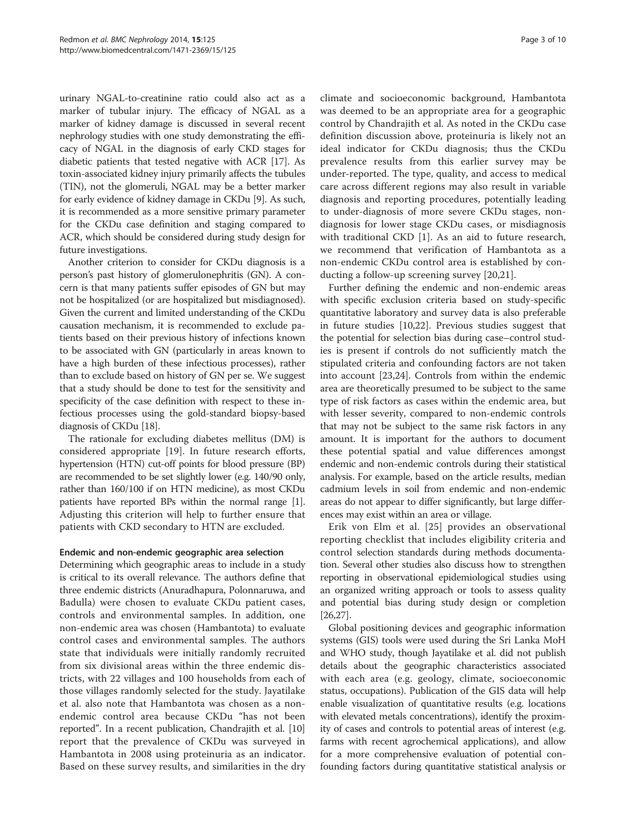urinary NGAL-to-creatinine ratio could also act as a marker of tubular injury. The efficacy of NGAL as a marker of kidney damage is discussed in several recent nephrology studies with one study demonstrating the efficacy of NGAL in the diagnosis of early CKD stages for diabetic patients that tested negative with ACR [[17](#page-8-0)]. As toxin-associated kidney injury primarily affects the tubules (TIN), not the glomeruli, NGAL may be a better marker for early evidence of kidney damage in CKDu [\[9\]](#page-8-0). As such, it is recommended as a more sensitive primary parameter for the CKDu case definition and staging compared to ACR, which should be considered during study design for future investigations.

Another criterion to consider for CKDu diagnosis is a person's past history of glomerulonephritis (GN). A concern is that many patients suffer episodes of GN but may not be hospitalized (or are hospitalized but misdiagnosed). Given the current and limited understanding of the CKDu causation mechanism, it is recommended to exclude patients based on their previous history of infections known to be associated with GN (particularly in areas known to have a high burden of these infectious processes), rather than to exclude based on history of GN per se. We suggest that a study should be done to test for the sensitivity and specificity of the case definition with respect to these infectious processes using the gold-standard biopsy-based diagnosis of CKDu [[18](#page-8-0)].

The rationale for excluding diabetes mellitus (DM) is considered appropriate [[19](#page-8-0)]. In future research efforts, hypertension (HTN) cut-off points for blood pressure (BP) are recommended to be set slightly lower (e.g. 140/90 only, rather than 160/100 if on HTN medicine), as most CKDu patients have reported BPs within the normal range [[1](#page-7-0)]. Adjusting this criterion will help to further ensure that patients with CKD secondary to HTN are excluded.

# Endemic and non-endemic geographic area selection

Determining which geographic areas to include in a study is critical to its overall relevance. The authors define that three endemic districts (Anuradhapura, Polonnaruwa, and Badulla) were chosen to evaluate CKDu patient cases, controls and environmental samples. In addition, one non-endemic area was chosen (Hambantota) to evaluate control cases and environmental samples. The authors state that individuals were initially randomly recruited from six divisional areas within the three endemic districts, with 22 villages and 100 households from each of those villages randomly selected for the study. Jayatilake et al. also note that Hambantota was chosen as a nonendemic control area because CKDu "has not been reported". In a recent publication, Chandrajith et al. [[10](#page-8-0)] report that the prevalence of CKDu was surveyed in Hambantota in 2008 using proteinuria as an indicator. Based on these survey results, and similarities in the dry

climate and socioeconomic background, Hambantota was deemed to be an appropriate area for a geographic control by Chandrajith et al. As noted in the CKDu case definition discussion above, proteinuria is likely not an ideal indicator for CKDu diagnosis; thus the CKDu prevalence results from this earlier survey may be under-reported. The type, quality, and access to medical care across different regions may also result in variable diagnosis and reporting procedures, potentially leading to under-diagnosis of more severe CKDu stages, nondiagnosis for lower stage CKDu cases, or misdiagnosis with traditional CKD [\[1](#page-7-0)]. As an aid to future research, we recommend that verification of Hambantota as a non-endemic CKDu control area is established by conducting a follow-up screening survey [[20,21\]](#page-8-0).

Further defining the endemic and non-endemic areas with specific exclusion criteria based on study-specific quantitative laboratory and survey data is also preferable in future studies [\[10,22\]](#page-8-0). Previous studies suggest that the potential for selection bias during case–control studies is present if controls do not sufficiently match the stipulated criteria and confounding factors are not taken into account [[23,24\]](#page-8-0). Controls from within the endemic area are theoretically presumed to be subject to the same type of risk factors as cases within the endemic area, but with lesser severity, compared to non-endemic controls that may not be subject to the same risk factors in any amount. It is important for the authors to document these potential spatial and value differences amongst endemic and non-endemic controls during their statistical analysis. For example, based on the article results, median cadmium levels in soil from endemic and non-endemic areas do not appear to differ significantly, but large differences may exist within an area or village.

Erik von Elm et al. [[25\]](#page-8-0) provides an observational reporting checklist that includes eligibility criteria and control selection standards during methods documentation. Several other studies also discuss how to strengthen reporting in observational epidemiological studies using an organized writing approach or tools to assess quality and potential bias during study design or completion [[26](#page-8-0),[27](#page-8-0)].

Global positioning devices and geographic information systems (GIS) tools were used during the Sri Lanka MoH and WHO study, though Jayatilake et al. did not publish details about the geographic characteristics associated with each area (e.g. geology, climate, socioeconomic status, occupations). Publication of the GIS data will help enable visualization of quantitative results (e.g. locations with elevated metals concentrations), identify the proximity of cases and controls to potential areas of interest (e.g. farms with recent agrochemical applications), and allow for a more comprehensive evaluation of potential confounding factors during quantitative statistical analysis or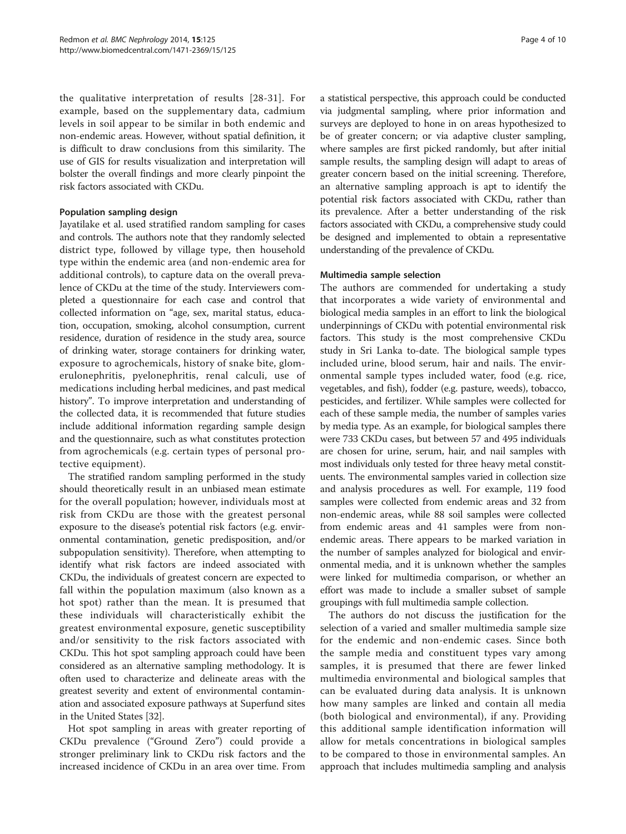the qualitative interpretation of results [[28](#page-8-0)-[31\]](#page-8-0). For example, based on the supplementary data, cadmium levels in soil appear to be similar in both endemic and non-endemic areas. However, without spatial definition, it is difficult to draw conclusions from this similarity. The use of GIS for results visualization and interpretation will bolster the overall findings and more clearly pinpoint the risk factors associated with CKDu.

# Population sampling design

Jayatilake et al. used stratified random sampling for cases and controls. The authors note that they randomly selected district type, followed by village type, then household type within the endemic area (and non-endemic area for additional controls), to capture data on the overall prevalence of CKDu at the time of the study. Interviewers completed a questionnaire for each case and control that collected information on "age, sex, marital status, education, occupation, smoking, alcohol consumption, current residence, duration of residence in the study area, source of drinking water, storage containers for drinking water, exposure to agrochemicals, history of snake bite, glomerulonephritis, pyelonephritis, renal calculi, use of medications including herbal medicines, and past medical history". To improve interpretation and understanding of the collected data, it is recommended that future studies include additional information regarding sample design and the questionnaire, such as what constitutes protection from agrochemicals (e.g. certain types of personal protective equipment).

The stratified random sampling performed in the study should theoretically result in an unbiased mean estimate for the overall population; however, individuals most at risk from CKDu are those with the greatest personal exposure to the disease's potential risk factors (e.g. environmental contamination, genetic predisposition, and/or subpopulation sensitivity). Therefore, when attempting to identify what risk factors are indeed associated with CKDu, the individuals of greatest concern are expected to fall within the population maximum (also known as a hot spot) rather than the mean. It is presumed that these individuals will characteristically exhibit the greatest environmental exposure, genetic susceptibility and/or sensitivity to the risk factors associated with CKDu. This hot spot sampling approach could have been considered as an alternative sampling methodology. It is often used to characterize and delineate areas with the greatest severity and extent of environmental contamination and associated exposure pathways at Superfund sites in the United States [[32](#page-8-0)].

Hot spot sampling in areas with greater reporting of CKDu prevalence ("Ground Zero") could provide a stronger preliminary link to CKDu risk factors and the increased incidence of CKDu in an area over time. From

a statistical perspective, this approach could be conducted via judgmental sampling, where prior information and surveys are deployed to hone in on areas hypothesized to be of greater concern; or via adaptive cluster sampling, where samples are first picked randomly, but after initial sample results, the sampling design will adapt to areas of greater concern based on the initial screening. Therefore, an alternative sampling approach is apt to identify the potential risk factors associated with CKDu, rather than its prevalence. After a better understanding of the risk factors associated with CKDu, a comprehensive study could be designed and implemented to obtain a representative understanding of the prevalence of CKDu.

#### Multimedia sample selection

The authors are commended for undertaking a study that incorporates a wide variety of environmental and biological media samples in an effort to link the biological underpinnings of CKDu with potential environmental risk factors. This study is the most comprehensive CKDu study in Sri Lanka to-date. The biological sample types included urine, blood serum, hair and nails. The environmental sample types included water, food (e.g. rice, vegetables, and fish), fodder (e.g. pasture, weeds), tobacco, pesticides, and fertilizer. While samples were collected for each of these sample media, the number of samples varies by media type. As an example, for biological samples there were 733 CKDu cases, but between 57 and 495 individuals are chosen for urine, serum, hair, and nail samples with most individuals only tested for three heavy metal constituents. The environmental samples varied in collection size and analysis procedures as well. For example, 119 food samples were collected from endemic areas and 32 from non-endemic areas, while 88 soil samples were collected from endemic areas and 41 samples were from nonendemic areas. There appears to be marked variation in the number of samples analyzed for biological and environmental media, and it is unknown whether the samples were linked for multimedia comparison, or whether an effort was made to include a smaller subset of sample groupings with full multimedia sample collection.

The authors do not discuss the justification for the selection of a varied and smaller multimedia sample size for the endemic and non-endemic cases. Since both the sample media and constituent types vary among samples, it is presumed that there are fewer linked multimedia environmental and biological samples that can be evaluated during data analysis. It is unknown how many samples are linked and contain all media (both biological and environmental), if any. Providing this additional sample identification information will allow for metals concentrations in biological samples to be compared to those in environmental samples. An approach that includes multimedia sampling and analysis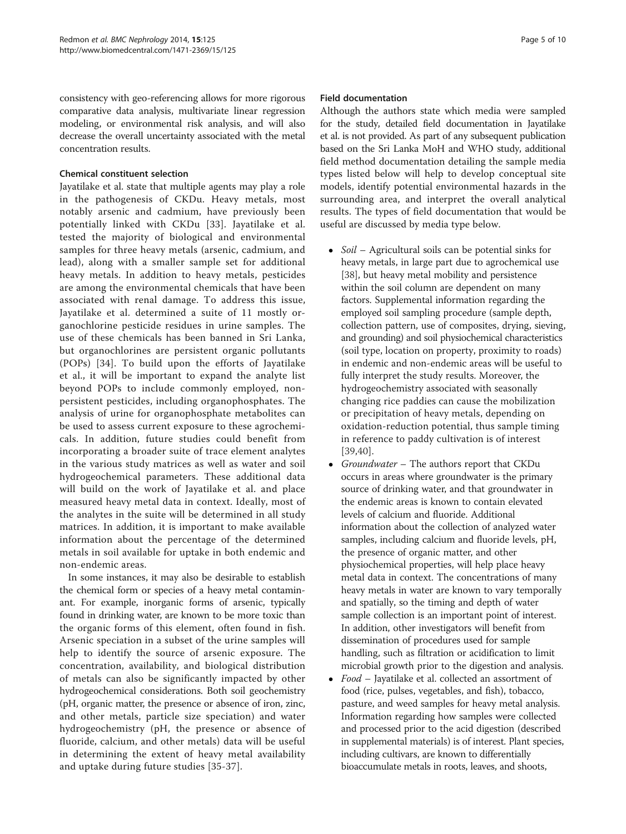consistency with geo-referencing allows for more rigorous comparative data analysis, multivariate linear regression modeling, or environmental risk analysis, and will also decrease the overall uncertainty associated with the metal concentration results.

# Chemical constituent selection

Jayatilake et al. state that multiple agents may play a role in the pathogenesis of CKDu. Heavy metals, most notably arsenic and cadmium, have previously been potentially linked with CKDu [[33\]](#page-8-0). Jayatilake et al. tested the majority of biological and environmental samples for three heavy metals (arsenic, cadmium, and lead), along with a smaller sample set for additional heavy metals. In addition to heavy metals, pesticides are among the environmental chemicals that have been associated with renal damage. To address this issue, Jayatilake et al. determined a suite of 11 mostly organochlorine pesticide residues in urine samples. The use of these chemicals has been banned in Sri Lanka, but organochlorines are persistent organic pollutants (POPs) [[34](#page-8-0)]. To build upon the efforts of Jayatilake et al., it will be important to expand the analyte list beyond POPs to include commonly employed, nonpersistent pesticides, including organophosphates. The analysis of urine for organophosphate metabolites can be used to assess current exposure to these agrochemicals. In addition, future studies could benefit from incorporating a broader suite of trace element analytes in the various study matrices as well as water and soil hydrogeochemical parameters. These additional data will build on the work of Jayatilake et al. and place measured heavy metal data in context. Ideally, most of the analytes in the suite will be determined in all study matrices. In addition, it is important to make available information about the percentage of the determined metals in soil available for uptake in both endemic and non-endemic areas.

In some instances, it may also be desirable to establish the chemical form or species of a heavy metal contaminant. For example, inorganic forms of arsenic, typically found in drinking water, are known to be more toxic than the organic forms of this element, often found in fish. Arsenic speciation in a subset of the urine samples will help to identify the source of arsenic exposure. The concentration, availability, and biological distribution of metals can also be significantly impacted by other hydrogeochemical considerations. Both soil geochemistry (pH, organic matter, the presence or absence of iron, zinc, and other metals, particle size speciation) and water hydrogeochemistry (pH, the presence or absence of fluoride, calcium, and other metals) data will be useful in determining the extent of heavy metal availability and uptake during future studies [[35](#page-8-0)-[37](#page-8-0)].

#### Field documentation

Although the authors state which media were sampled for the study, detailed field documentation in Jayatilake et al. is not provided. As part of any subsequent publication based on the Sri Lanka MoH and WHO study, additional field method documentation detailing the sample media types listed below will help to develop conceptual site models, identify potential environmental hazards in the surrounding area, and interpret the overall analytical results. The types of field documentation that would be useful are discussed by media type below.

- $\bullet$  *Soil* Agricultural soils can be potential sinks for heavy metals, in large part due to agrochemical use [[38](#page-8-0)], but heavy metal mobility and persistence within the soil column are dependent on many factors. Supplemental information regarding the employed soil sampling procedure (sample depth, collection pattern, use of composites, drying, sieving, and grounding) and soil physiochemical characteristics (soil type, location on property, proximity to roads) in endemic and non-endemic areas will be useful to fully interpret the study results. Moreover, the hydrogeochemistry associated with seasonally changing rice paddies can cause the mobilization or precipitation of heavy metals, depending on oxidation-reduction potential, thus sample timing in reference to paddy cultivation is of interest [[39,40](#page-8-0)].
- Groundwater The authors report that CKDu occurs in areas where groundwater is the primary source of drinking water, and that groundwater in the endemic areas is known to contain elevated levels of calcium and fluoride. Additional information about the collection of analyzed water samples, including calcium and fluoride levels, pH, the presence of organic matter, and other physiochemical properties, will help place heavy metal data in context. The concentrations of many heavy metals in water are known to vary temporally and spatially, so the timing and depth of water sample collection is an important point of interest. In addition, other investigators will benefit from dissemination of procedures used for sample handling, such as filtration or acidification to limit microbial growth prior to the digestion and analysis.
- Food Jayatilake et al. collected an assortment of food (rice, pulses, vegetables, and fish), tobacco, pasture, and weed samples for heavy metal analysis. Information regarding how samples were collected and processed prior to the acid digestion (described in supplemental materials) is of interest. Plant species, including cultivars, are known to differentially bioaccumulate metals in roots, leaves, and shoots,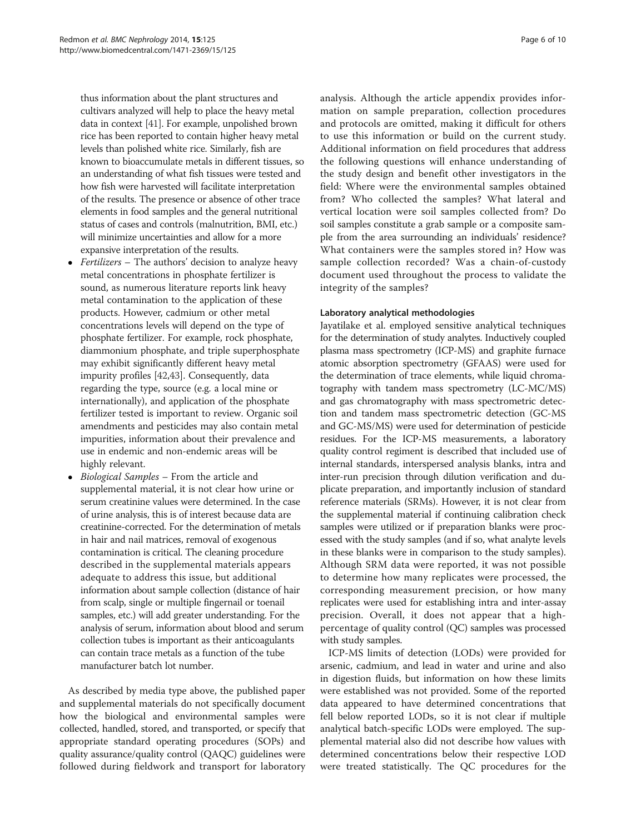thus information about the plant structures and cultivars analyzed will help to place the heavy metal data in context [\[41\]](#page-8-0). For example, unpolished brown rice has been reported to contain higher heavy metal levels than polished white rice. Similarly, fish are known to bioaccumulate metals in different tissues, so an understanding of what fish tissues were tested and how fish were harvested will facilitate interpretation of the results. The presence or absence of other trace elements in food samples and the general nutritional status of cases and controls (malnutrition, BMI, etc.) will minimize uncertainties and allow for a more expansive interpretation of the results.

- Fertilizers The authors' decision to analyze heavy metal concentrations in phosphate fertilizer is sound, as numerous literature reports link heavy metal contamination to the application of these products. However, cadmium or other metal concentrations levels will depend on the type of phosphate fertilizer. For example, rock phosphate, diammonium phosphate, and triple superphosphate may exhibit significantly different heavy metal impurity profiles [[42](#page-8-0),[43](#page-8-0)]. Consequently, data regarding the type, source (e.g. a local mine or internationally), and application of the phosphate fertilizer tested is important to review. Organic soil amendments and pesticides may also contain metal impurities, information about their prevalence and use in endemic and non-endemic areas will be highly relevant.
- Biological Samples From the article and supplemental material, it is not clear how urine or serum creatinine values were determined. In the case of urine analysis, this is of interest because data are creatinine-corrected. For the determination of metals in hair and nail matrices, removal of exogenous contamination is critical. The cleaning procedure described in the supplemental materials appears adequate to address this issue, but additional information about sample collection (distance of hair from scalp, single or multiple fingernail or toenail samples, etc.) will add greater understanding. For the analysis of serum, information about blood and serum collection tubes is important as their anticoagulants can contain trace metals as a function of the tube manufacturer batch lot number.

As described by media type above, the published paper and supplemental materials do not specifically document how the biological and environmental samples were collected, handled, stored, and transported, or specify that appropriate standard operating procedures (SOPs) and quality assurance/quality control (QAQC) guidelines were followed during fieldwork and transport for laboratory analysis. Although the article appendix provides information on sample preparation, collection procedures and protocols are omitted, making it difficult for others to use this information or build on the current study. Additional information on field procedures that address the following questions will enhance understanding of the study design and benefit other investigators in the field: Where were the environmental samples obtained from? Who collected the samples? What lateral and vertical location were soil samples collected from? Do soil samples constitute a grab sample or a composite sample from the area surrounding an individuals' residence? What containers were the samples stored in? How was sample collection recorded? Was a chain-of-custody document used throughout the process to validate the

#### Laboratory analytical methodologies

integrity of the samples?

Jayatilake et al. employed sensitive analytical techniques for the determination of study analytes. Inductively coupled plasma mass spectrometry (ICP-MS) and graphite furnace atomic absorption spectrometry (GFAAS) were used for the determination of trace elements, while liquid chromatography with tandem mass spectrometry (LC-MC/MS) and gas chromatography with mass spectrometric detection and tandem mass spectrometric detection (GC-MS and GC-MS/MS) were used for determination of pesticide residues. For the ICP-MS measurements, a laboratory quality control regiment is described that included use of internal standards, interspersed analysis blanks, intra and inter-run precision through dilution verification and duplicate preparation, and importantly inclusion of standard reference materials (SRMs). However, it is not clear from the supplemental material if continuing calibration check samples were utilized or if preparation blanks were processed with the study samples (and if so, what analyte levels in these blanks were in comparison to the study samples). Although SRM data were reported, it was not possible to determine how many replicates were processed, the corresponding measurement precision, or how many replicates were used for establishing intra and inter-assay precision. Overall, it does not appear that a highpercentage of quality control (QC) samples was processed with study samples.

ICP-MS limits of detection (LODs) were provided for arsenic, cadmium, and lead in water and urine and also in digestion fluids, but information on how these limits were established was not provided. Some of the reported data appeared to have determined concentrations that fell below reported LODs, so it is not clear if multiple analytical batch-specific LODs were employed. The supplemental material also did not describe how values with determined concentrations below their respective LOD were treated statistically. The QC procedures for the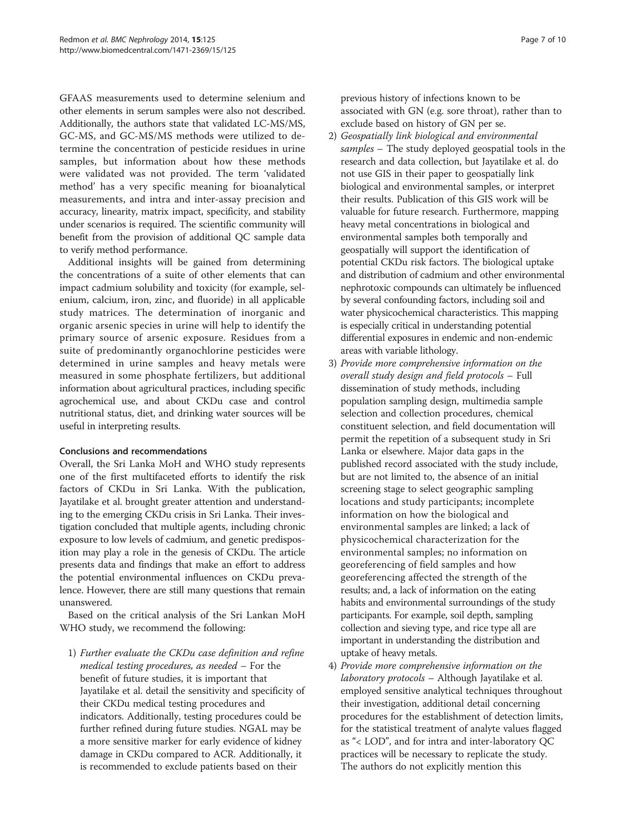GFAAS measurements used to determine selenium and other elements in serum samples were also not described. Additionally, the authors state that validated LC-MS/MS, GC-MS, and GC-MS/MS methods were utilized to determine the concentration of pesticide residues in urine samples, but information about how these methods were validated was not provided. The term 'validated method' has a very specific meaning for bioanalytical measurements, and intra and inter-assay precision and accuracy, linearity, matrix impact, specificity, and stability under scenarios is required. The scientific community will benefit from the provision of additional QC sample data to verify method performance.

Additional insights will be gained from determining the concentrations of a suite of other elements that can impact cadmium solubility and toxicity (for example, selenium, calcium, iron, zinc, and fluoride) in all applicable study matrices. The determination of inorganic and organic arsenic species in urine will help to identify the primary source of arsenic exposure. Residues from a suite of predominantly organochlorine pesticides were determined in urine samples and heavy metals were measured in some phosphate fertilizers, but additional information about agricultural practices, including specific agrochemical use, and about CKDu case and control nutritional status, diet, and drinking water sources will be useful in interpreting results.

# Conclusions and recommendations

Overall, the Sri Lanka MoH and WHO study represents one of the first multifaceted efforts to identify the risk factors of CKDu in Sri Lanka. With the publication, Jayatilake et al. brought greater attention and understanding to the emerging CKDu crisis in Sri Lanka. Their investigation concluded that multiple agents, including chronic exposure to low levels of cadmium, and genetic predisposition may play a role in the genesis of CKDu. The article presents data and findings that make an effort to address the potential environmental influences on CKDu prevalence. However, there are still many questions that remain unanswered.

Based on the critical analysis of the Sri Lankan MoH WHO study, we recommend the following:

1) Further evaluate the CKDu case definition and refine medical testing procedures, as needed – For the benefit of future studies, it is important that Jayatilake et al. detail the sensitivity and specificity of their CKDu medical testing procedures and indicators. Additionally, testing procedures could be further refined during future studies. NGAL may be a more sensitive marker for early evidence of kidney damage in CKDu compared to ACR. Additionally, it is recommended to exclude patients based on their

previous history of infections known to be associated with GN (e.g. sore throat), rather than to exclude based on history of GN per se.

- 2) Geospatially link biological and environmental samples – The study deployed geospatial tools in the research and data collection, but Jayatilake et al. do not use GIS in their paper to geospatially link biological and environmental samples, or interpret their results. Publication of this GIS work will be valuable for future research. Furthermore, mapping heavy metal concentrations in biological and environmental samples both temporally and geospatially will support the identification of potential CKDu risk factors. The biological uptake and distribution of cadmium and other environmental nephrotoxic compounds can ultimately be influenced by several confounding factors, including soil and water physicochemical characteristics. This mapping is especially critical in understanding potential differential exposures in endemic and non-endemic areas with variable lithology.
- 3) Provide more comprehensive information on the overall study design and field protocols – Full dissemination of study methods, including population sampling design, multimedia sample selection and collection procedures, chemical constituent selection, and field documentation will permit the repetition of a subsequent study in Sri Lanka or elsewhere. Major data gaps in the published record associated with the study include, but are not limited to, the absence of an initial screening stage to select geographic sampling locations and study participants; incomplete information on how the biological and environmental samples are linked; a lack of physicochemical characterization for the environmental samples; no information on georeferencing of field samples and how georeferencing affected the strength of the results; and, a lack of information on the eating habits and environmental surroundings of the study participants. For example, soil depth, sampling collection and sieving type, and rice type all are important in understanding the distribution and uptake of heavy metals.
- 4) Provide more comprehensive information on the laboratory protocols - Although Jayatilake et al. employed sensitive analytical techniques throughout their investigation, additional detail concerning procedures for the establishment of detection limits, for the statistical treatment of analyte values flagged as "< LOD", and for intra and inter-laboratory QC practices will be necessary to replicate the study. The authors do not explicitly mention this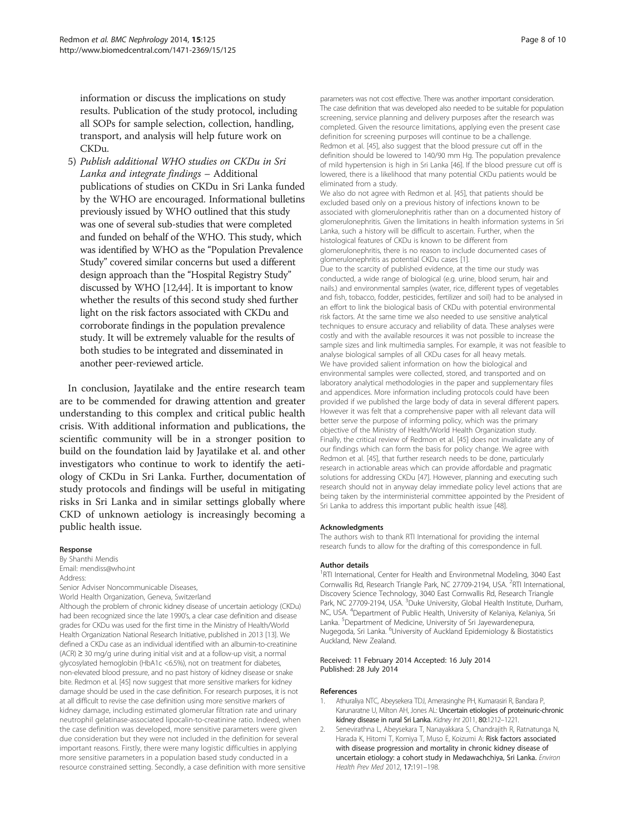<span id="page-7-0"></span>information or discuss the implications on study results. Publication of the study protocol, including all SOPs for sample selection, collection, handling, transport, and analysis will help future work on CKDu.

5) Publish additional WHO studies on CKDu in Sri Lanka and integrate findings – Additional publications of studies on CKDu in Sri Lanka funded by the WHO are encouraged. Informational bulletins previously issued by WHO outlined that this study was one of several sub-studies that were completed and funded on behalf of the WHO. This study, which was identified by WHO as the "Population Prevalence Study" covered similar concerns but used a different design approach than the "Hospital Registry Study" discussed by WHO [\[12](#page-8-0),[44\]](#page-8-0). It is important to know whether the results of this second study shed further light on the risk factors associated with CKDu and corroborate findings in the population prevalence study. It will be extremely valuable for the results of both studies to be integrated and disseminated in another peer-reviewed article.

In conclusion, Jayatilake and the entire research team are to be commended for drawing attention and greater understanding to this complex and critical public health crisis. With additional information and publications, the scientific community will be in a stronger position to build on the foundation laid by Jayatilake et al. and other investigators who continue to work to identify the aetiology of CKDu in Sri Lanka. Further, documentation of study protocols and findings will be useful in mitigating risks in Sri Lanka and in similar settings globally where CKD of unknown aetiology is increasingly becoming a public health issue.

#### Response

By Shanthi Mendis Email: mendiss@who.int Address: Senior Adviser Noncommunicable Diseases, World Health Organization, Geneva, Switzerland

Although the problem of chronic kidney disease of uncertain aetiology (CKDu) had been recognized since the late 1990's, a clear case definition and disease grades for CKDu was used for the first time in the Ministry of Health/World Health Organization National Research Initiative, published in 2013 [\[13](#page-8-0)]. We defined a CKDu case as an individual identified with an albumin-to-creatinine (ACR) ≥ 30 mg/g urine during initial visit and at a follow-up visit, a normal glycosylated hemoglobin (HbA1c <6.5%), not on treatment for diabetes, non-elevated blood pressure, and no past history of kidney disease or snake bite. Redmon et al. [\[45\]](#page-9-0) now suggest that more sensitive markers for kidney damage should be used in the case definition. For research purposes, it is not at all difficult to revise the case definition using more sensitive markers of kidney damage, including estimated glomerular filtration rate and urinary neutrophil gelatinase-associated lipocalin-to-creatinine ratio. Indeed, when the case definition was developed, more sensitive parameters were given due consideration but they were not included in the definition for several important reasons. Firstly, there were many logistic difficulties in applying more sensitive parameters in a population based study conducted in a resource constrained setting. Secondly, a case definition with more sensitive

parameters was not cost effective. There was another important consideration. The case definition that was developed also needed to be suitable for population screening, service planning and delivery purposes after the research was completed. Given the resource limitations, applying even the present case definition for screening purposes will continue to be a challenge. Redmon et al. [[45](#page-9-0)], also suggest that the blood pressure cut off in the definition should be lowered to 140/90 mm Hg. The population prevalence of mild hypertension is high in Sri Lanka [\[46](#page-9-0)]. If the blood pressure cut off is lowered, there is a likelihood that many potential CKDu patients would be eliminated from a study.

We also do not agree with Redmon et al. [\[45](#page-9-0)], that patients should be excluded based only on a previous history of infections known to be associated with glomerulonephritis rather than on a documented history of glomerulonephritis. Given the limitations in health information systems in Sri Lanka, such a history will be difficult to ascertain. Further, when the histological features of CKDu is known to be different from glomerulonephritis, there is no reason to include documented cases of glomerulonephritis as potential CKDu cases [1]. Due to the scarcity of published evidence, at the time our study was conducted, a wide range of biological (e.g. urine, blood serum, hair and nails.) and environmental samples (water, rice, different types of vegetables and fish, tobacco, fodder, pesticides, fertilizer and soil) had to be analysed in an effort to link the biological basis of CKDu with potential environmental risk factors. At the same time we also needed to use sensitive analytical techniques to ensure accuracy and reliability of data. These analyses were costly and with the available resources it was not possible to increase the sample sizes and link multimedia samples. For example, it was not feasible to analyse biological samples of all CKDu cases for all heavy metals. We have provided salient information on how the biological and environmental samples were collected, stored, and transported and on laboratory analytical methodologies in the paper and supplementary files and appendices. More information including protocols could have been provided if we published the large body of data in several different papers. However it was felt that a comprehensive paper with all relevant data will better serve the purpose of informing policy, which was the primary objective of the Ministry of Health/World Health Organization study. Finally, the critical review of Redmon et al. [[45\]](#page-9-0) does not invalidate any of our findings which can form the basis for policy change. We agree with Redmon et al. [[45](#page-9-0)], that further research needs to be done, particularly research in actionable areas which can provide affordable and pragmatic solutions for addressing CKDu [[47\]](#page-9-0). However, planning and executing such research should not in anyway delay immediate policy level actions that are being taken by the interministerial committee appointed by the President of Sri Lanka to address this important public health issue [\[48\]](#page-9-0).

#### Acknowledgments

The authors wish to thank RTI International for providing the internal research funds to allow for the drafting of this correspondence in full.

#### Author details

<sup>1</sup>RTI International, Center for Health and Environmetnal Modeling, 3040 East Cornwallis Rd, Research Triangle Park, NC 27709-2194, USA. <sup>2</sup>RTI International, Discovery Science Technology, 3040 East Cornwallis Rd, Research Triangle Park, NC 27709-2194, USA. <sup>3</sup>Duke University, Global Health Institute, Durham NC, USA. <sup>4</sup>Department of Public Health, University of Kelaniya, Kelaniya, Sri Lanka. <sup>5</sup>Department of Medicine, University of Sri Jayewardenepura, Nugegoda, Sri Lanka. <sup>6</sup>University of Auckland Epidemiology & Biostatistics Auckland, New Zealand.

#### Received: 11 February 2014 Accepted: 16 July 2014 Published: 28 July 2014

#### References

- 1. Athuraliya NTC, Abeysekera TDJ, Amerasinghe PH, Kumarasiri R, Bandara P, Karunaratne U, Milton AH, Jones AL: Uncertain etiologies of proteinuric-chronic kidney disease in rural Sri Lanka. Kidney Int 2011, 80:1212–1221.
- 2. Senevirathna L, Abeysekara T, Nanayakkara S, Chandrajith R, Ratnatunga N, Harada K, Hitomi T, Komiya T, Muso E, Koizumi A: Risk factors associated with disease progression and mortality in chronic kidney disease of uncertain etiology: a cohort study in Medawachchiya, Sri Lanka. Environ Health Prev Med 2012, 17:191–198.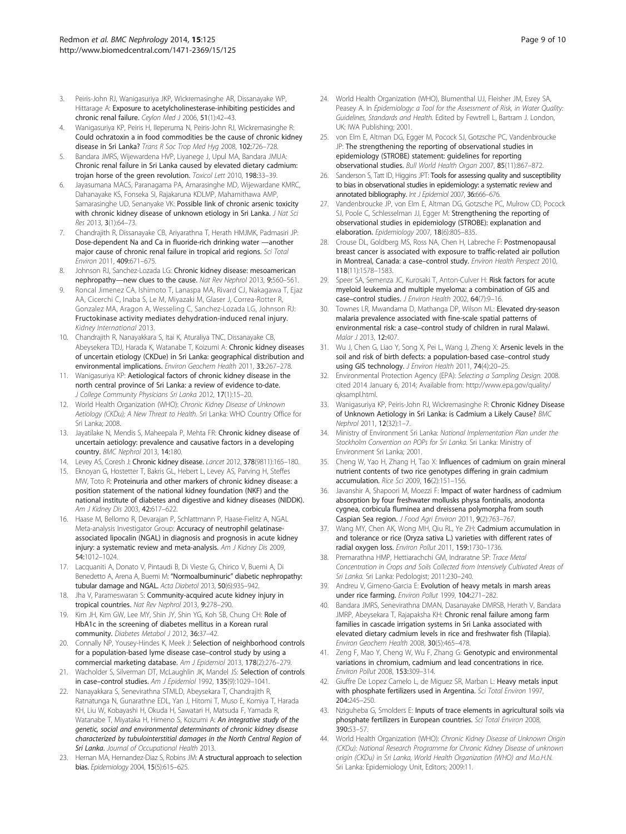- <span id="page-8-0"></span>3. Peiris-John RJ, Wanigasuriya JKP, Wickremasinghe AR, Dissanayake WP, Hittarage A: Exposure to acetylcholinesterase-inhibiting pesticides and chronic renal failure. Ceylon Med J 2006, 51(1):42-43.
- 4. Wanigasuriya KP, Peiris H, Ileperuma N, Peiris-John RJ, Wickremasinghe R: Could ochratoxin a in food commodities be the cause of chronic kidney disease in Sri Lanka? Trans R Soc Trop Med Hyg 2008, 102:726–728.
- 5. Bandara JMRS, Wijewardena HVP, Liyanege J, Upul MA, Bandara JMUA: Chronic renal failure in Sri Lanka caused by elevated dietary cadmium: trojan horse of the green revolution. Toxicol Lett 2010, 198:33–39.
- Jayasumana MACS, Paranagama PA, Amarasinghe MD, Wijewardane KMRC, Dahanayake KS, Fonseka SI, Rajakaruna KDLMP, Mahamithawa AMP, Samarasinghe UD, Senanyake VK: Possible link of chronic arsenic toxicity with chronic kidney disease of unknown etiology in Sri Lanka. J Nat Sci Res 2013, 3(1):64–73.
- 7. Chandrajith R, Dissanayake CB, Ariyarathna T, Herath HMJMK, Padmasiri JP: Dose-dependent Na and Ca in fluoride-rich drinking water —another major cause of chronic renal failure in tropical arid regions. Sci Total Environ 2011, 409:671–675.
- Johnson RJ, Sanchez-Lozada LG: Chronic kidney disease: mesoamerican nephropathy—new clues to the cause. Nat Rev Nephrol 2013, 9:560–561.
- 9. Roncal Jimenez CA, Ishimoto T, Lanaspa MA, Rivard CJ, Nakagawa T, Ejaz AA, Cicerchi C, Inaba S, Le M, Miyazaki M, Glaser J, Correa-Rotter R, Gonzalez MA, Aragon A, Wesseling C, Sanchez-Lozada LG, Johnson RJ: Fructokinase activity mediates dehydration-induced renal injury. Kidney International 2013.
- 10. Chandrajith R, Nanayakkara S, Itai K, Aturaliya TNC, Dissanayake CB, Abeysekera TDJ, Harada K, Watanabe T, Koizumi A: Chronic kidney diseases of uncertain etiology (CKDue) in Sri Lanka: geographical distribution and environmental implications. Environ Geochem Health 2011, 33:267–278.
- 11. Wanigasuriya KP: Aetiological factors of chronic kidney disease in the north central province of Sri Lanka: a review of evidence to-date. J College Community Physicians Sri Lanka 2012, 17(1):15–20.
- 12. World Health Organization (WHO): Chronic Kidney Disease of Unknown Aetiology (CKDu); A New Threat to Health. Sri Lanka: WHO Country Office for Sri Lanka; 2008.
- 13. Jayatilake N, Mendis S, Maheepala P, Mehta FR: Chronic kidney disease of uncertain aetiology: prevalence and causative factors in a developing country. BMC Nephrol 2013, 14:180.
- 14. Levey AS, Coresh J: Chronic kidney disease. Lancet 2012, 378(9811):165–180.
- 15. Eknoyan G, Hostetter T, Bakris GL, Hebert L, Levey AS, Parving H, Steffes MW, Toto R: Proteinuria and other markers of chronic kidney disease: a position statement of the national kidney foundation (NKF) and the national institute of diabetes and digestive and kidney diseases (NIDDK). Am J Kidney Dis 2003, 42:617–622.
- 16. Haase M, Bellomo R, Devarajan P, Schlattmann P, Haase-Fielitz A, NGAL Meta-analysis Investigator Group: Accuracy of neutrophil gelatinaseassociated lipocalin (NGAL) in diagnosis and prognosis in acute kidney injury: a systematic review and meta-analysis. Am J Kidney Dis 2009, 54:1012–1024.
- 17. Lacquaniti A, Donato V, Pintaudi B, Di Vieste G, Chirico V, Buemi A, Di Benedetto A, Arena A, Buemi M: "Normoalbuminuric" diabetic nephropathy: tubular damage and NGAL. Acta Diabetol 2013, 50(6):935–942.
- 18. Jha V, Parameswaran S: Community-acquired acute kidney injury in tropical countries. Nat Rev Nephrol 2013, 9:278–290.
- 19. Kim JH, Kim GW, Lee MY, Shin JY, Shin YG, Koh SB, Chung CH: Role of HbA1c in the screening of diabetes mellitus in a Korean rural community. Diabetes Metabol J 2012, 36:37-42.
- 20. Connally NP, Yousey-Hindes K, Meek J: Selection of neighborhood controls for a population-based lyme disease case–control study by using a commercial marketing database. Am J Epidemiol 2013, 178(2):276–279.
- 21. Wacholder S, Silverman DT, McLaughlin JK, Mandel JS: Selection of controls in case–control studies. Am J Epidemiol 1992, 135(9):1029–1041.
- 22. Nanayakkara S, Senevirathna STMLD, Abeysekara T, Chandrajith R, Ratnatunga N, Gunarathne EDL, Yan J, Hitomi T, Muso E, Komiya T, Harada KH, Liu W, Kobayashi H, Okuda H, Sawatari H, Matsuda F, Yamada R, Watanabe T, Miyataka H, Himeno S, Koizumi A: An integrative study of the genetic, social and environmental determinants of chronic kidney disease characterized by tubulointerstitial damages in the North Central Region of Sri Lanka. Journal of Occupational Health 2013.
- 23. Hernan MA, Hernandez-Diaz S, Robins JM: A structural approach to selection bias. Epidemiology 2004, 15(5):615–625.
- 24. World Health Organization (WHO), Blumenthal UJ, Fleisher JM, Esrey SA, Peasey A. In Epidemiology: a Tool for the Assessment of Risk, in Water Quality: Guidelines, Standards and Health. Edited by Fewtrell L, Bartram J. London, UK: IWA Publishing; 2001.
- 25. von Elm E, Altman DG, Egger M, Pocock SJ, Gotzsche PC, Vandenbroucke JP: The strengthening the reporting of observational studies in epidemiology (STROBE) statement: guidelines for reporting observational studies. Bull World Health Organ 2007, 85(11):867–872.
- 26. Sanderson S, Tatt ID, Higgins JPT: Tools for assessing quality and susceptibility to bias in observational studies in epidemiology: a systematic review and annotated bibliography. Int J Epidemiol 2007, 36:666-676.
- 27. Vandenbroucke JP, von Elm E, Altman DG, Gotzsche PC, Mulrow CD, Pocock SJ, Poole C, Schlesselman JJ, Egger M: Strengthening the reporting of observational studies in epidemiology (STROBE): explanation and elaboration. Epidemiology 2007, 18(6):805–835.
- 28. Crouse DL, Goldberg MS, Ross NA, Chen H, Labreche F: Postmenopausal breast cancer is associated with exposure to traffic-related air pollution in Montreal, Canada: a case–control study. Environ Health Perspect 2010, 118(11):1578–1583.
- 29. Speer SA, Semenza JC, Kurosaki T, Anton-Culver H: Risk factors for acute myeloid leukemia and multiple myeloma: a combination of GIS and case–control studies. J Environ Health 2002, 64(7):9–16.
- 30. Townes LR, Mwandama D, Mathanga DP, Wilson ML: Elevated dry-season malaria prevalence associated with fine-scale spatial patterns of environmental risk: a case–control study of children in rural Malawi. Malar J 2013, 12:407.
- 31. Wu J, Chen G, Liao Y, Song X, Pei L, Wang J, Zheng X: Arsenic levels in the soil and risk of birth defects: a population-based case–control study using GIS technology. J Environ Health 2011, 74(4):20-25.
- 32. Environmental Protection Agency (EPA): Selecting a Sampling Design. 2008. cited 2014 January 6, 2014; Available from: [http://www.epa.gov/quality/](http://www.epa.gov/quality/qksampl.html) [qksampl.html.](http://www.epa.gov/quality/qksampl.html)
- 33. Wanigasuriya KP, Peiris-John RJ, Wickremasinghe R: Chronic Kidney Disease of Unknown Aetiology in Sri Lanka: is Cadmium a Likely Cause? BMC Nephrol 2011, 12(32):1–7.
- 34. Ministry of Environment Sri Lanka: National Implementation Plan under the Stockholm Convention on POPs for Sri Lanka. Sri Lanka: Ministry of Environment Sri Lanka; 2001.
- 35. Cheng W, Yao H, Zhang H, Tao X: Influences of cadmium on grain mineral nutrient contents of two rice genotypes differing in grain cadmium accumulation. Rice Sci 2009, 16(2):151–156.
- 36. Javanshir A, Shapoori M, Moezzi F: Impact of water hardness of cadmium absorption by four freshwater mollusks physa fontinalis, anodonta cygnea, corbicula fluminea and dreissena polymorpha from south Caspian Sea region. J Food Agri Environ 2011, 9(2):763–767.
- 37. Wang MY, Chen AK, Wong MH, Qiu RL, Ye ZH: Cadmium accumulation in and tolerance or rice (Oryza sativa L.) varieties with different rates of radial oxygen loss. Environ Pollut 2011, 159:1730–1736.
- 38. Premarathna HMP, Hettiarachchi GM, Indraratne SP: Trace Metal Concentration in Crops and Soils Collected from Intensively Cultivated Areas of Sri Lanka. Sri Lanka: Pedologist; 2011:230–240.
- 39. Andreu V, Gimeno-Garcia E: Evolution of heavy metals in marsh areas under rice farming. Environ Pollut 1999, 104:271–282.
- 40. Bandara JMRS, Senevirathna DMAN, Dasanayake DMRSB, Herath V, Bandara JMRP, Abeysekara T, Rajapaksha KH: Chronic renal failure among farm families in cascade irrigation systems in Sri Lanka associated with elevated dietary cadmium levels in rice and freshwater fish (Tilapia). Environ Geochem Health 2008, 30(5):465–478.
- 41. Zeng F, Mao Y, Cheng W, Wu F, Zhang G: Genotypic and environmental variations in chromium, cadmium and lead concentrations in rice. Environ Pollut 2008, 153:309–314.
- 42. Giuffre De Lopez Camelo L, de Miguez SR, Marban L: Heavy metals input with phosphate fertilizers used in Argentina. Sci Total Environ 1997, 204:245–250.
- 43. Nziguheba G, Smolders E: Inputs of trace elements in agricultural soils via phosphate fertilizers in European countries. Sci Total Environ 2008, 390:53–57.
- 44. World Health Organization (WHO): Chronic Kidney Disease of Unknown Origin (CKDu): National Research Programme for Chronic Kidney Disease of unknown origin (CKDu) in Sri Lanka, World Health Organization (WHO) and M.o.H.N. Sri Lanka: Epidemiology Unit, Editors; 2009:11.